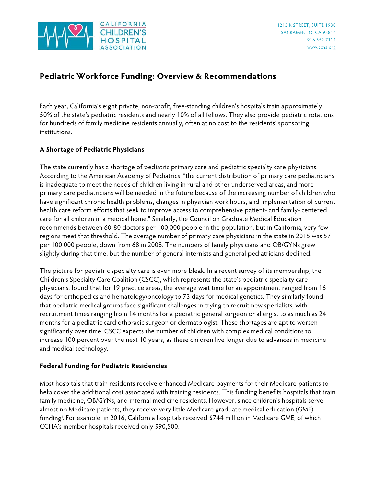

# **Pediatric Workforce Funding: Overview & Recommendations**

Each year, California's eight private, non-profit, free-standing children's hospitals train approximately 50% of the state's pediatric residents and nearly 10% of all fellows. They also provide pediatric rotations for hundreds of family medicine residents annually, often at no cost to the residents' sponsoring institutions.

# **A Shortage of Pediatric Physicians**

The state currently has a shortage of pediatric primary care and pediatric specialty care physicians. According to the American Academy of Pediatrics, "the current distribution of primary care pediatricians is inadequate to meet the needs of children living in rural and other underserved areas, and more primary care pediatricians will be needed in the future because of the increasing number of children who have significant chronic health problems, changes in physician work hours, and implementation of current health care reform efforts that seek to improve access to comprehensive patient- and family- centered care for all children in a medical home." Similarly, the Council on Graduate Medical Education recommends between 60-80 doctors per 100,000 people in the population, but in California, very few regions meet that threshold. The average number of primary care physicians in the state in 2015 was 57 per 100,000 people, down from 68 in 2008. The numbers of family physicians and OB/GYNs grew slightly during that time, but the number of general internists and general pediatricians declined.

The picture for pediatric specialty care is even more bleak. In a recent survey of its membership, the Children's Specialty Care Coalition (CSCC), which represents the state's pediatric specialty care physicians, found that for 19 practice areas, the average wait time for an appointment ranged from 16 days for orthopedics and hematology/oncology to 73 days for medical genetics. They similarly found that pediatric medical groups face significant challenges in trying to recruit new specialists, with recruitment times ranging from 14 months for a pediatric general surgeon or allergist to as much as 24 months for a pediatric cardiothoracic surgeon or dermatologist. These shortages are apt to worsen significantly over time. CSCC expects the number of children with complex medical conditions to increase 100 percent over the next 10 years, as these children live longer due to advances in medicine and medical technology.

# **Federal Funding for Pediatric Residencies**

Most hospitals that train residents receive enhanced Medicare payments for their Medicare patients to help cover the additional cost associated with training residents. This funding benefits hospitals that train family medicine, OB/GYNs, and internal medicine residents. However, since children's hospitals serve almost no Medicare patients, they receive very little Medicare graduate medical education (GME) funding[i](#page-3-0) . For example, in 2016, California hospitals received \$744 million in Medicare GME, of which CCHA's member hospitals received only \$90,500.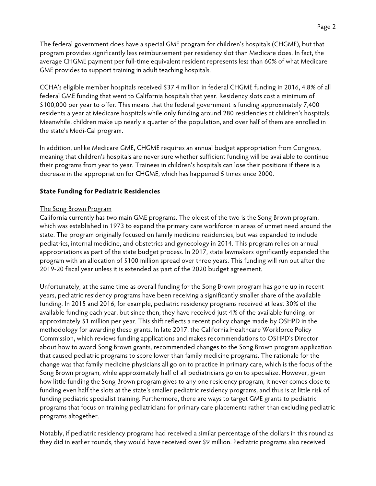The federal government does have a special GME program for children's hospitals (CHGME), but that program provides significantly less reimbursement per residency slot than Medicare does. In fact, the average CHGME payment per full-time equivalent resident represents less than 60% of what Medicare GME provides to support training in adult teaching hospitals.

CCHA's eligible member hospitals received \$37.4 million in federal CHGME funding in 2016, 4.8% of all federal GME funding that went to California hospitals that year. Residency slots cost a minimum of \$100,000 per year to offer. This means that the federal government is funding approximately 7,400 residents a year at Medicare hospitals while only funding around 280 residencies at children's hospitals. Meanwhile, children make up nearly a quarter of the population, and over half of them are enrolled in the state's Medi-Cal program.

In addition, unlike Medicare GME, CHGME requires an annual budget appropriation from Congress, meaning that children's hospitals are never sure whether sufficient funding will be available to continue their programs from year to year. Trainees in children's hospitals can lose their positions if there is a decrease in the appropriation for CHGME, which has happened 5 times since 2000.

### **State Funding for Pediatric Residencies**

### The Song Brown Program

California currently has two main GME programs. The oldest of the two is the Song Brown program, which was established in 1973 to expand the primary care workforce in areas of unmet need around the state. The program originally focused on family medicine residencies, but was expanded to include pediatrics, internal medicine, and obstetrics and gynecology in 2014. This program relies on annual appropriations as part of the state budget process. In 2017, state lawmakers significantly expanded the program with an allocation of \$100 million spread over three years. This funding will run out after the 2019-20 fiscal year unless it is extended as part of the 2020 budget agreement.

Unfortunately, at the same time as overall funding for the Song Brown program has gone up in recent years, pediatric residency programs have been receiving a significantly smaller share of the available funding. In 2015 and 2016, for example, pediatric residency programs received at least 30% of the available funding each year, but since then, they have received just 4% of the available funding, or approximately \$1 million per year. This shift reflects a recent policy change made by OSHPD in the methodology for awarding these grants. In late 2017, the California Healthcare Workforce Policy Commission, which reviews funding applications and makes recommendations to OSHPD's Director about how to award Song Brown grants, recommended changes to the Song Brown program application that caused pediatric programs to score lower than family medicine programs. The rationale for the change was that family medicine physicians all go on to practice in primary care, which is the focus of the Song Brown program, while approximately half of all pediatricians go on to specialize. However, given how little funding the Song Brown program gives to any one residency program, it never comes close to funding even half the slots at the state's smaller pediatric residency programs, and thus is at little risk of funding pediatric specialist training. Furthermore, there are ways to target GME grants to pediatric programs that focus on training pediatricians for primary care placements rather than excluding pediatric programs altogether.

Notably, if pediatric residency programs had received a similar percentage of the dollars in this round as they did in earlier rounds, they would have received over \$9 million. Pediatric programs also received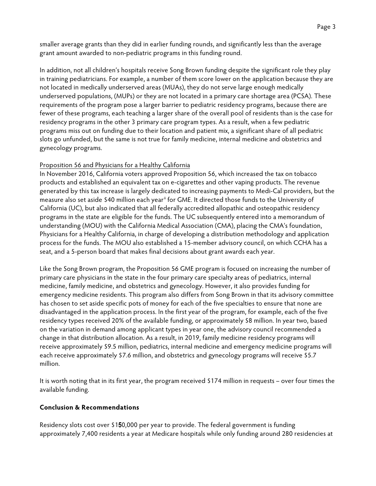smaller average grants than they did in earlier funding rounds, and significantly less than the average grant amount awarded to non-pediatric programs in this funding round.

In addition, not all children's hospitals receive Song Brown funding despite the significant role they play in training pediatricians. For example, a number of them score lower on the application because they are not located in medically underserved areas (MUAs), they do not serve large enough medically underserved populations, (MUPs) or they are not located in a primary care shortage area (PCSA). These requirements of the program pose a larger barrier to pediatric residency programs, because there are fewer of these programs, each teaching a larger share of the overall pool of residents than is the case for residency programs in the other 3 primary care program types. As a result, when a few pediatric programs miss out on funding due to their location and patient mix, a significant share of all pediatric slots go unfunded, but the same is not true for family medicine, internal medicine and obstetrics and gynecology programs.

# Proposition 56 and Physicians for a Healthy California

In November 2016, California voters approved Proposition 56, which increased the tax on tobacco products and established an equivalent tax on e-cigarettes and other vaping products. The revenue generated by this tax increase is largely dedicated to increasing payments to Medi-Cal providers, but the measure also set aside \$40 million each year<sup>[ii](#page-3-1)</sup> for GME. It directed those funds to the University of California (UC), but also indicated that all federally accredited allopathic and osteopathic residency programs in the state are eligible for the funds. The UC subsequently entered into a memorandum of understanding (MOU) with the California Medical Association (CMA), placing the CMA's foundation, Physicians for a Healthy California, in charge of developing a distribution methodology and application process for the funds. The MOU also established a 15-member advisory council, on which CCHA has a seat, and a 5-person board that makes final decisions about grant awards each year.

Like the Song Brown program, the Proposition 56 GME program is focused on increasing the number of primary care physicians in the state in the four primary care specialty areas of pediatrics, internal medicine, family medicine, and obstetrics and gynecology. However, it also provides funding for emergency medicine residents. This program also differs from Song Brown in that its advisory committee has chosen to set aside specific pots of money for each of the five specialties to ensure that none are disadvantaged in the application process. In the first year of the program, for example, each of the five residency types received 20% of the available funding, or approximately \$8 million. In year two, based on the variation in demand among applicant types in year one, the advisory council recommended a change in that distribution allocation. As a result, in 2019, family medicine residency programs will receive approximately \$9.5 million, pediatrics, internal medicine and emergency medicine programs will each receive approximately \$7.6 million, and obstetrics and gynecology programs will receive \$5.7 million.

It is worth noting that in its first year, the program received \$174 million in requests – over four times the available funding.

### **Conclusion & Recommendations**

Residency slots cost over \$150,000 per year to provide. The federal government is funding approximately 7,400 residents a year at Medicare hospitals while only funding around 280 residencies at